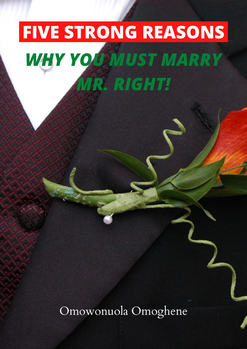# **FIVE STRONG REASONS** *WHY YOU MUST MARRY MR. RIGHT!*

Omowonuola Omoghene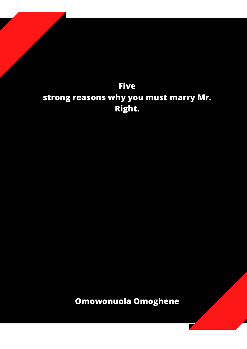#### **Five strong reasons why you must marry Mr. Right.**

**Omowonuola Omoghene**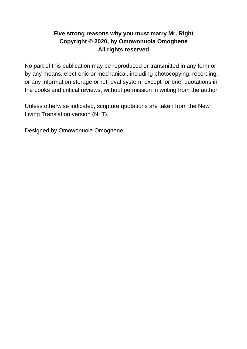#### **Five strong reasons why you must marry Mr. Right Copyright © 2020, by Omowonuola Omoghene All rights reserved**

No part of this publication may be reproduced or transmitted in any form or by any means, electronic or mechanical, including photocopying, recording, or any information storage or retrieval system, except for brief quotations in the books and critical reviews, without permission in writing from the author.

Unless otherwise indicated, scripture quotations are taken from the New Living Translation version (NLT).

Designed by Omowonuola Omoghene.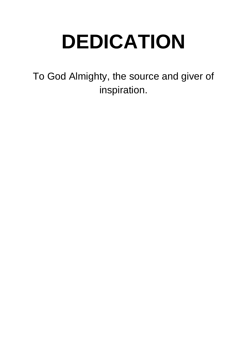## **DEDICATION**

To God Almighty, the source and giver of inspiration.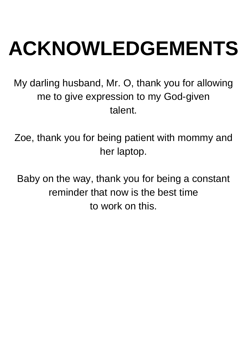# **ACKNOWLEDGEMENTS**

My darling husband, Mr. O, thank you for allowing me to give expression to my God-given talent.

Zoe, thank you for being patient with mommy and her laptop.

Baby on the way, thank you for being a constant reminder that now is the best time to work on this.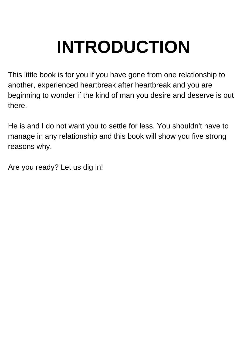### **INTRODUCTION**

This little book is for you if you have gone from one relationship to another, experienced heartbreak after heartbreak and you are beginning to wonder if the kind of man you desire and deserve is out there.

He is and I do not want you to settle for less. You shouldn't have to manage in any relationship and this book will show you five strong reasons why.

Are you ready? Let us dig in!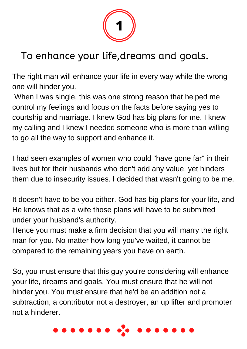

### To enhance your life,dreams and goals.

The right man will enhance your life in every way while the wrong one will hinder you.

 When I was single, this was one strong reason that helped me control my feelings and focus on the facts before saying yes to courtship and marriage. I knew God has big plans for me. I knew my calling and I knew I needed someone who is more than willing to go all the way to support and enhance it.

I had seen examples of women who could "have gone far" in their lives but for their husbands who don't add any value, yet hinders them due to insecurity issues. I decided that wasn't going to be me.

It doesn't have to be you either. God has big plans for your life, and He knows that as a wife those plans will have to be submitted under your husband's authority.

Hence you must make a firm decision that you will marry the right man for you. No matter how long you've waited, it cannot be compared to the remaining years you have on earth.

So, you must ensure that this guy you're considering will enhance your life, dreams and goals. You must ensure that he will not hinder you. You must ensure that he'd be an addition not a subtraction, a contributor not a destroyer, an up lifter and promoter not a hinderer.

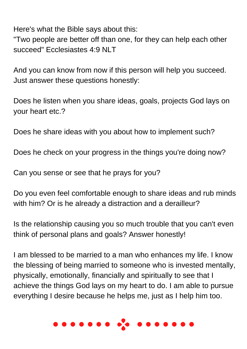Here's what the Bible says about this:

"Two people are better off than one, for they can help each other succeed" Ecclesiastes 4:9 NLT

And you can know from now if this person will help you succeed. Just answer these questions honestly:

Does he listen when you share ideas, goals, projects God lays on your heart etc.?

Does he share ideas with you about how to implement such?

Does he check on your progress in the things you're doing now?

Can you sense or see that he prays for you?

Do you even feel comfortable enough to share ideas and rub minds with him? Or is he already a distraction and a derailleur?

Is the relationship causing you so much trouble that you can't even think of personal plans and goals? Answer honestly!

I am blessed to be married to a man who enhances my life. I know the blessing of being married to someone who is invested mentally, physically, emotionally, financially and spiritually to see that I achieve the things God lays on my heart to do. I am able to pursue everything I desire because he helps me, just as I help him too.

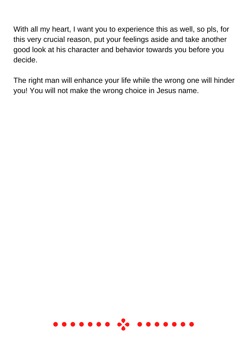With all my heart, I want you to experience this as well, so pls, for this very crucial reason, put your feelings aside and take another good look at his character and behavior towards you before you decide.

The right man will enhance your life while the wrong one will hinder you! You will not make the wrong choice in Jesus name.

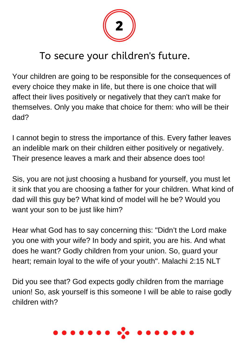

#### To secure your children's future.

Your children are going to be responsible for the consequences of every choice they make in life, but there is one choice that will affect their lives positively or negatively that they can't make for themselves. Only you make that choice for them: who will be their dad?

I cannot begin to stress the importance of this. Every father leaves an indelible mark on their children either positively or negatively. Their presence leaves a mark and their absence does too!

Sis, you are not just choosing a husband for yourself, you must let it sink that you are choosing a father for your children. What kind of dad will this guy be? What kind of model will he be? Would you want your son to be just like him?

Hear what God has to say concerning this: "Didn't the Lord make you one with your wife? In body and spirit, you are his. And what does he want? Godly children from your union. So, guard your heart; remain loyal to the wife of your youth". Malachi 2:15 NLT

Did you see that? God expects godly children from the marriage union! So, ask yourself is this someone I will be able to raise godly children with?

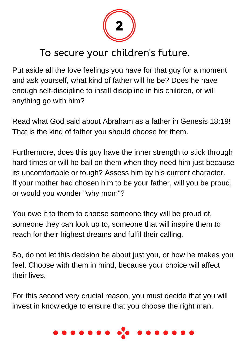

#### To secure your children's future.

Put aside all the love feelings you have for that guy for a moment and ask yourself, what kind of father will he be? Does he have enough self-discipline to instill discipline in his children, or will anything go with him?

Read what God said about Abraham as a father in Genesis 18:19! That is the kind of father you should choose for them.

Furthermore, does this guy have the inner strength to stick through hard times or will he bail on them when they need him just because its uncomfortable or tough? Assess him by his current character. If your mother had chosen him to be your father, will you be proud, or would you wonder "why mom"?

You owe it to them to choose someone they will be proud of, someone they can look up to, someone that will inspire them to reach for their highest dreams and fulfil their calling.

So, do not let this decision be about just you, or how he makes you feel. Choose with them in mind, because your choice will affect their lives.

For this second very crucial reason, you must decide that you will invest in knowledge to ensure that you choose the right man.

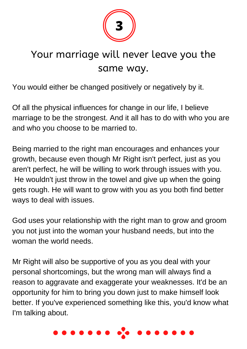

#### Your marriage will never leave you the same way.

You would either be changed positively or negatively by it.

Of all the physical influences for change in our life, I believe marriage to be the strongest. And it all has to do with who you are and who you choose to be married to.

Being married to the right man encourages and enhances your growth, because even though Mr Right isn't perfect, just as you aren't perfect, he will be willing to work through issues with you. He wouldn't just throw in the towel and give up when the going gets rough. He will want to grow with you as you both find better ways to deal with issues.

God uses your relationship with the right man to grow and groom you not just into the woman your husband needs, but into the woman the world needs.

Mr Right will also be supportive of you as you deal with your personal shortcomings, but the wrong man will always find a reason to aggravate and exaggerate your weaknesses. It'd be an opportunity for him to bring you down just to make himself look better. If you've experienced something like this, you'd know what I'm talking about.

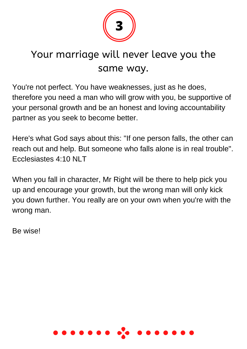

#### Your marriage will never leave you the same way.

You're not perfect. You have weaknesses, just as he does, therefore you need a man who will grow with you, be supportive of your personal growth and be an honest and loving accountability partner as you seek to become better.

Here's what God says about this: "If one person falls, the other can reach out and help. But someone who falls alone is in real trouble". Ecclesiastes 4:10 NLT

When you fall in character, Mr Right will be there to help pick you up and encourage your growth, but the wrong man will only kick you down further. You really are on your own when you're with the wrong man.

Be wise!

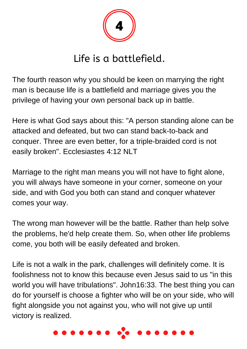

#### Life is a battlefield.

The fourth reason why you should be keen on marrying the right man is because life is a battlefield and marriage gives you the privilege of having your own personal back up in battle.

Here is what God says about this: "A person standing alone can be attacked and defeated, but two can stand back-to-back and conquer. Three are even better, for a triple-braided cord is not easily broken". Ecclesiastes 4:12 NLT

Marriage to the right man means you will not have to fight alone, you will always have someone in your corner, someone on your side, and with God you both can stand and conquer whatever comes your way.

The wrong man however will be the battle. Rather than help solve the problems, he'd help create them. So, when other life problems come, you both will be easily defeated and broken.

Life is not a walk in the park, challenges will definitely come. It is foolishness not to know this because even Jesus said to us "in this world you will have tribulations". John16:33. The best thing you can do for yourself is choose a fighter who will be on your side, who will fight alongside you not against you, who will not give up until victory is realized.

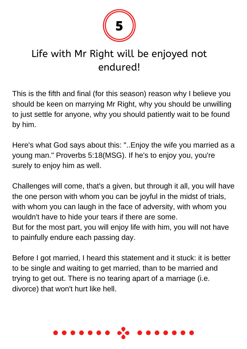

#### Life with Mr Right will be enjoyed not endured!

This is the fifth and final (for this season) reason why I believe you should be keen on marrying Mr Right, why you should be unwilling to just settle for anyone, why you should patiently wait to be found by him.

Here's what God says about this: "..Enjoy the wife you married as a young man." Proverbs 5:18(MSG). If he's to enjoy you, you're surely to enjoy him as well.

Challenges will come, that's a given, but through it all, you will have the one person with whom you can be joyful in the midst of trials, with whom you can laugh in the face of adversity, with whom you wouldn't have to hide your tears if there are some. But for the most part, you will enjoy life with him, you will not have to painfully endure each passing day.

Before I got married, I heard this statement and it stuck: it is better to be single and waiting to get married, than to be married and trying to get out. There is no tearing apart of a marriage (i.e. divorce) that won't hurt like hell.

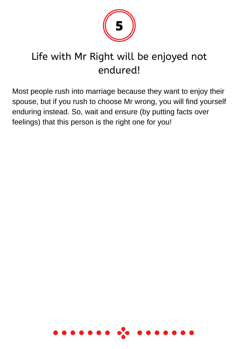

### Life with Mr Right will be enjoyed not endured!

Most people rush into marriage because they want to enjoy their spouse, but if you rush to choose Mr wrong, you will find yourself enduring instead. So, wait and ensure (by putting facts over feelings) that this person is the right one for you!

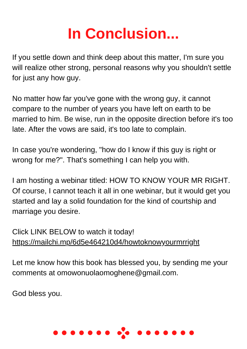### **In Conclusion...**

If you settle down and think deep about this matter, I'm sure you will realize other strong, personal reasons why you shouldn't settle for just any how guy.

No matter how far you've gone with the wrong guy, it cannot compare to the number of years you have left on earth to be married to him. Be wise, run in the opposite direction before it's too late. After the vows are said, it's too late to complain.

In case you're wondering, "how do I know if this guy is right or wrong for me?". That's something I can help you with.

I am hosting a webinar titled: HOW TO KNOW YOUR MR RIGHT. Of course, I cannot teach it all in one webinar, but it would get you started and lay a solid foundation for the kind of courtship and marriage you desire.

Click LINK BELOW to watch it today! <https://mailchi.mp/6d5e464210d4/howtoknowyourmrright>

Let me know how this book has blessed you, by sending me your comments at omowonuolaomoghene@gmail.com.

God bless you.